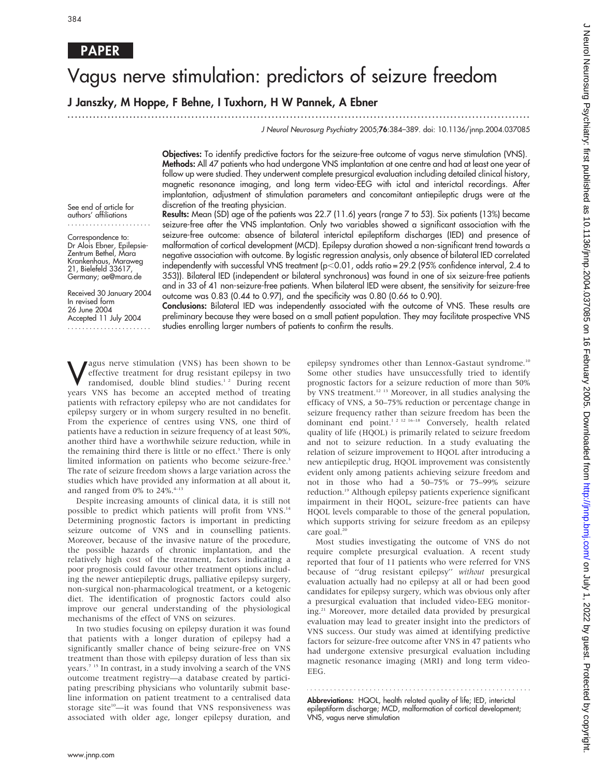# Vagus nerve stimulation: predictors of seizure freedom

...............................................................................................................................

J Janszky, M Hoppe, F Behne, I Tuxhorn, H W Pannek, A Ebner

J Neurol Neurosurg Psychiatry 2005;76:384–389. doi: 10.1136/jnnp.2004.037085

Objectives: To identify predictive factors for the seizure-free outcome of vagus nerve stimulation (VNS). Methods: All 47 patients who had undergone VNS implantation at one centre and had at least one year of follow up were studied. They underwent complete presurgical evaluation including detailed clinical history, magnetic resonance imaging, and long term video-EEG with ictal and interictal recordings. After implantation, adjustment of stimulation parameters and concomitant antiepileptic drugs were at the discretion of the treating physician.

Results: Mean (SD) age of the patients was 22.7 (11.6) years (range 7 to 53). Six patients (13%) became seizure-free after the VNS implantation. Only two variables showed a significant association with the

See end of article for authors' affiliations .......................

Correspondence to: Dr Alois Ebner, Epilepsie-Zentrum Bethel, Mara Krankenhaus, Maraweg 21, Bielefeld 33617, Germany; ae@mara.de

Received 30 January 2004 In revised form 26 June 2004 Accepted 11 July 2004 .......................

seizure-free outcome: absence of bilateral interictal epileptiform discharges (IED) and presence of malformation of cortical development (MCD). Epilepsy duration showed a non-significant trend towards a negative association with outcome. By logistic regression analysis, only absence of bilateral IED correlated independently with successful VNS treatment ( $p<0.01$ , odds ratio = 29.2 (95% confidence interval, 2.4 to 353)). Bilateral IED (independent or bilateral synchronous) was found in one of six seizure-free patients and in 33 of 41 non-seizure-free patients. When bilateral IED were absent, the sensitivity for seizure-free outcome was 0.83 (0.44 to 0.97), and the specificity was 0.80 (0.66 to 0.90).

Conclusions: Bilateral IED was independently associated with the outcome of VNS. These results are preliminary because they were based on a small patient population. They may facilitate prospective VNS studies enrolling larger numbers of patients to confirm the results.

**V** effective treatment for drug resistant epilepsy in two randomised, double blind studies.<sup>1,2</sup> During recent vectors VNS has become an accepted method of treating effective treatment for drug resistant epilepsy in two years VNS has become an accepted method of treating patients with refractory epilepsy who are not candidates for epilepsy surgery or in whom surgery resulted in no benefit. From the experience of centres using VNS, one third of patients have a reduction in seizure frequency of at least 50%, another third have a worthwhile seizure reduction, while in the remaining third there is little or no effect.<sup>3</sup> There is only limited information on patients who become seizure-free.<sup>3</sup> The rate of seizure freedom shows a large variation across the studies which have provided any information at all about it, and ranged from 0% to 24%.<br>4-13  $\,$ 

Despite increasing amounts of clinical data, it is still not possible to predict which patients will profit from VNS.14 Determining prognostic factors is important in predicting seizure outcome of VNS and in counselling patients. Moreover, because of the invasive nature of the procedure, the possible hazards of chronic implantation, and the relatively high cost of the treatment, factors indicating a poor prognosis could favour other treatment options including the newer antiepileptic drugs, palliative epilepsy surgery, non-surgical non-pharmacological treatment, or a ketogenic diet. The identification of prognostic factors could also improve our general understanding of the physiological mechanisms of the effect of VNS on seizures.

In two studies focusing on epilepsy duration it was found that patients with a longer duration of epilepsy had a significantly smaller chance of being seizure-free on VNS treatment than those with epilepsy duration of less than six years.<sup>7 15</sup> In contrast, in a study involving a search of the VNS outcome treatment registry—a database created by participating prescribing physicians who voluntarily submit baseline information on patient treatment to a centralised data storage site<sup>10</sup>-it was found that VNS responsiveness was associated with older age, longer epilepsy duration, and

epilepsy syndromes other than Lennox-Gastaut syndrome.<sup>10</sup> Some other studies have unsuccessfully tried to identify prognostic factors for a seizure reduction of more than 50% by VNS treatment.<sup>12 13</sup> Moreover, in all studies analysing the efficacy of VNS, a 50–75% reduction or percentage change in seizure frequency rather than seizure freedom has been the dominant end point.1 2 12 16–18 Conversely, health related quality of life (HQOL) is primarily related to seizure freedom and not to seizure reduction. In a study evaluating the relation of seizure improvement to HQOL after introducing a new antiepileptic drug, HQOL improvement was consistently evident only among patients achieving seizure freedom and not in those who had a 50–75% or 75–99% seizure reduction.19 Although epilepsy patients experience significant impairment in their HQOL, seizure-free patients can have HQOL levels comparable to those of the general population, which supports striving for seizure freedom as an epilepsy care goal.<sup>20</sup>

Most studies investigating the outcome of VNS do not require complete presurgical evaluation. A recent study reported that four of 11 patients who were referred for VNS because of ''drug resistant epilepsy'' without presurgical evaluation actually had no epilepsy at all or had been good candidates for epilepsy surgery, which was obvious only after a presurgical evaluation that included video-EEG monitoring.<sup>21</sup> Moreover, more detailed data provided by presurgical evaluation may lead to greater insight into the predictors of VNS success. Our study was aimed at identifying predictive factors for seizure-free outcome after VNS in 47 patients who had undergone extensive presurgical evaluation including magnetic resonance imaging (MRI) and long term video-EEG.

Abbreviations: HQOL, health related quality of life; IED, interictal epileptiform discharge; MCD, malformation of cortical development; VNS, vagus nerve stimulation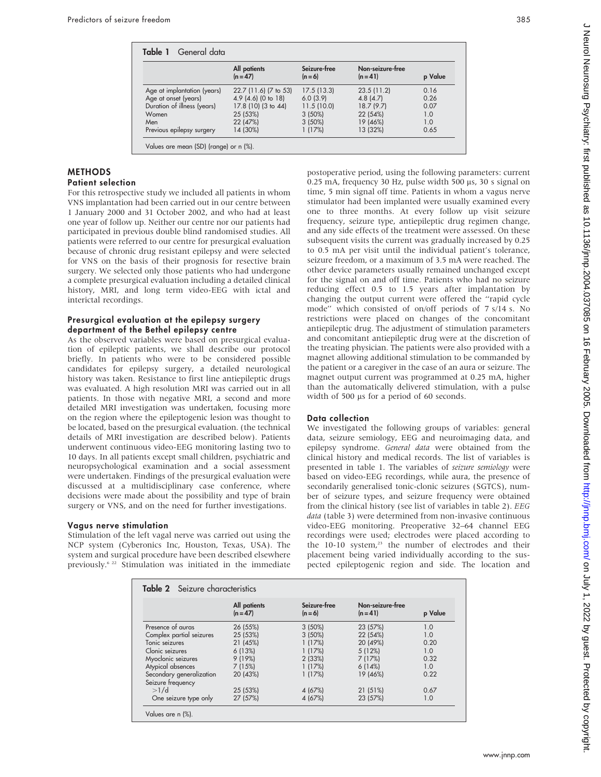| Table 1 General data        |                            |                         |                                |         |  |
|-----------------------------|----------------------------|-------------------------|--------------------------------|---------|--|
|                             | All patients<br>$(n = 47)$ | Seizure-free<br>$(n=6)$ | Non-seizure-free<br>$(n = 41)$ | p Value |  |
| Age at implantation (years) | 22.7 (11.6) (7 to 53)      | 17.5(13.3)              | 23.5(11.2)                     | 0.16    |  |
| Age at onset (years)        | $4.9$ (4.6) (0 to 18)      | 6.0(3.9)                | 4.8(4.7)                       | 0.26    |  |
| Duration of illness (years) | 17.8 (10) (3 to 44)        | 11.5(10.0)              | 18.7(9.7)                      | 0.07    |  |
| Women                       | 25 (53%)                   | $3(50\%)$               | 22 (54%)                       | 1.0     |  |
| Men                         | 22 (47%)                   | $3(50\%)$               | 19 (46%)                       | 1.0     |  |
| Previous epilepsy surgery   | 14 (30%)                   | 1(17%)                  | 13 (32%)                       | 0.65    |  |

#### METHODS Patient selection

For this retrospective study we included all patients in whom

VNS implantation had been carried out in our centre between 1 January 2000 and 31 October 2002, and who had at least one year of follow up. Neither our centre nor our patients had participated in previous double blind randomised studies. All patients were referred to our centre for presurgical evaluation because of chronic drug resistant epilepsy and were selected for VNS on the basis of their prognosis for resective brain surgery. We selected only those patients who had undergone a complete presurgical evaluation including a detailed clinical history, MRI, and long term video-EEG with ictal and interictal recordings.

#### Presurgical evaluation at the epilepsy surgery department of the Bethel epilepsy centre

As the observed variables were based on presurgical evaluation of epileptic patients, we shall describe our protocol briefly. In patients who were to be considered possible candidates for epilepsy surgery, a detailed neurological history was taken. Resistance to first line antiepileptic drugs was evaluated. A high resolution MRI was carried out in all patients. In those with negative MRI, a second and more detailed MRI investigation was undertaken, focusing more on the region where the epileptogenic lesion was thought to be located, based on the presurgical evaluation. (the technical details of MRI investigation are described below). Patients underwent continuous video-EEG monitoring lasting two to 10 days. In all patients except small children, psychiatric and neuropsychological examination and a social assessment were undertaken. Findings of the presurgical evaluation were discussed at a multidisciplinary case conference, where decisions were made about the possibility and type of brain surgery or VNS, and on the need for further investigations.

## Vagus nerve stimulation

Stimulation of the left vagal nerve was carried out using the NCP system (Cyberonics Inc, Houston, Texas, USA). The system and surgical procedure have been described elsewhere previously.6 22 Stimulation was initiated in the immediate postoperative period, using the following parameters: current  $0.25$  mA, frequency 30 Hz, pulse width 500  $\mu$ s, 30 s signal on time, 5 min signal off time. Patients in whom a vagus nerve stimulator had been implanted were usually examined every one to three months. At every follow up visit seizure frequency, seizure type, antiepileptic drug regimen change, and any side effects of the treatment were assessed. On these subsequent visits the current was gradually increased by 0.25 to 0.5 mA per visit until the individual patient's tolerance, seizure freedom, or a maximum of 3.5 mA were reached. The other device parameters usually remained unchanged except for the signal on and off time. Patients who had no seizure reducing effect 0.5 to 1.5 years after implantation by changing the output current were offered the ''rapid cycle mode'' which consisted of on/off periods of 7 s/14 s. No restrictions were placed on changes of the concomitant antiepileptic drug. The adjustment of stimulation parameters and concomitant antiepileptic drug were at the discretion of the treating physician. The patients were also provided with a magnet allowing additional stimulation to be commanded by the patient or a caregiver in the case of an aura or seizure. The magnet output current was programmed at 0.25 mA, higher than the automatically delivered stimulation, with a pulse width of 500  $\mu$ s for a period of 60 seconds.

## Data collection

We investigated the following groups of variables: general data, seizure semiology, EEG and neuroimaging data, and epilepsy syndrome. General data were obtained from the clinical history and medical records. The list of variables is presented in table 1. The variables of seizure semiology were based on video-EEG recordings, while aura, the presence of secondarily generalised tonic-clonic seizures (SGTCS), number of seizure types, and seizure frequency were obtained from the clinical history (see list of variables in table 2). EEG data (table 3) were determined from non-invasive continuous video-EEG monitoring. Preoperative 32–64 channel EEG recordings were used; electrodes were placed according to the 10-10 system,<sup>23</sup> the number of electrodes and their placement being varied individually according to the suspected epileptogenic region and side. The location and

|                          | All patients<br>$(n = 47)$ | Seizure-free<br>$(n=6)$ | Non-seizure-free<br>$(n = 41)$ | p Value |
|--------------------------|----------------------------|-------------------------|--------------------------------|---------|
| Presence of guras        | 26 (55%)                   | $3(50\%)$               | 23 (57%)                       | 1.0     |
| Complex partial seizures | 25 (53%)                   | 3(50%)                  | 22 (54%)                       | 1.0     |
| Tonic seizures           | 21 (45%)                   | 1(17%)                  | 20 (49%)                       | 0.20    |
| Clonic seizures          | 6(13%)                     | 1(17%)                  | 5(12%)                         | 1.0     |
| Myoclonic seizures       | 9(19%)                     | 2 (33%)                 | 7(17%)                         | 0.32    |
| Atypical absences        | 7(15%)                     | 1(17%)                  | 6(14%)                         | 1.0     |
| Secondary generalization | 20 (43%)                   | 1(17%)                  | 19 (46%)                       | 0.22    |
| Seizure frequency        |                            |                         |                                |         |
| >1/d                     | 25 (53%)                   | 4 (67%)                 | 21 (51%)                       | 0.67    |
| One seizure type only    | 27 (57%)                   | 4 (67%)                 | 23 (57%)                       | 1.0     |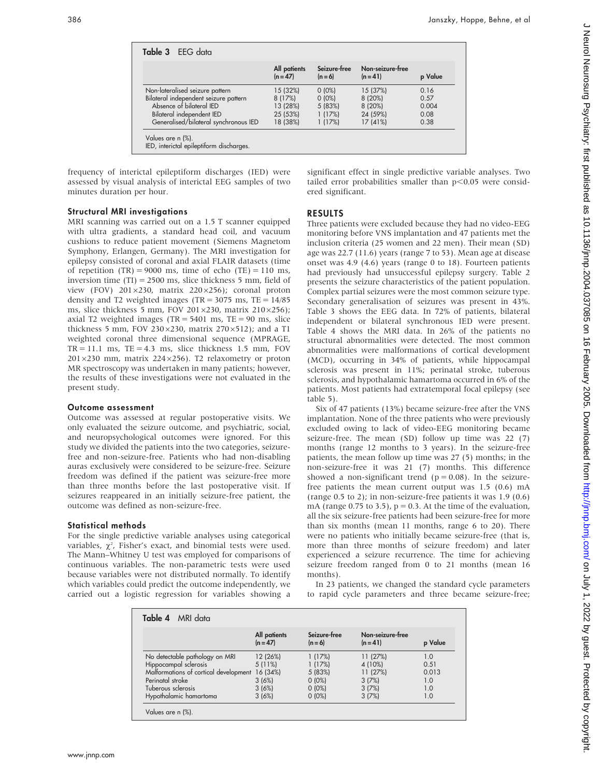|                                       | All patients<br>$(n = 47)$ | Seizure-free<br>$(n=6)$ | Non-seizure-free<br>$(n = 41)$ | p Value |
|---------------------------------------|----------------------------|-------------------------|--------------------------------|---------|
| Non-lateralised seizure pattern       | 15 (32%)                   | $0(0\%)$                | 15 (37%)                       | 0.16    |
| Bilateral independent seizure pattern | 8(17%)                     | $0(0\%)$                | 8(20%)                         | 0.57    |
| Absence of bilateral IED              | 13 (28%)                   | 5 (83%)                 | 8 (20%)                        | 0.004   |
| Bilateral independent IED             | 25 (53%)                   | 1(17%)                  | 24 (59%)                       | 0.08    |
| Generalised/bilateral synchronous IED | 18 (38%)                   | 1(17%)                  | 17(41%)                        | 0.38    |

frequency of interictal epileptiform discharges (IED) were assessed by visual analysis of interictal EEG samples of two minutes duration per hour.

## Structural MRI investigations

MRI scanning was carried out on a 1.5 T scanner equipped with ultra gradients, a standard head coil, and vacuum cushions to reduce patient movement (Siemens Magnetom Symphony, Erlangen, Germany). The MRI investigation for epilepsy consisted of coronal and axial FLAIR datasets (time of repetition  $(TR) = 9000$  ms, time of echo  $(TE) = 110$  ms, inversion time  $(TI) = 2500$  ms, slice thickness 5 mm, field of view (FOV)  $201 \times 230$ , matrix  $220 \times 256$ ); coronal proton density and T2 weighted images (TR =  $3075$  ms, TE =  $14/85$ ) ms, slice thickness 5 mm, FOV 201 $\times$ 230, matrix 210 $\times$ 256); axial T2 weighted images (TR = 5401 ms, TE = 90 ms, slice thickness 5 mm, FOV 230 $\times$ 230, matrix 270 $\times$ 512); and a T1 weighted coronal three dimensional sequence (MPRAGE,  $TR = 11.1$  ms,  $TE = 4.3$  ms, slice thickness 1.5 mm, FOV  $201\times230$  mm, matrix  $224\times256$ ). T2 relaxometry or proton MR spectroscopy was undertaken in many patients; however, the results of these investigations were not evaluated in the present study.

#### Outcome assessment

Outcome was assessed at regular postoperative visits. We only evaluated the seizure outcome, and psychiatric, social, and neuropsychological outcomes were ignored. For this study we divided the patients into the two categories, seizurefree and non-seizure-free. Patients who had non-disabling auras exclusively were considered to be seizure-free. Seizure freedom was defined if the patient was seizure-free more than three months before the last postoperative visit. If seizures reappeared in an initially seizure-free patient, the outcome was defined as non-seizure-free.

#### Statistical methods

For the single predictive variable analyses using categorical variables,  $\chi^2$ , Fisher's exact, and binomial tests were used. The Mann–Whitney U test was employed for comparisons of continuous variables. The non-parametric tests were used because variables were not distributed normally. To identify which variables could predict the outcome independently, we carried out a logistic regression for variables showing a significant effect in single predictive variable analyses. Two tailed error probabilities smaller than  $p<0.05$  were considered significant.

#### RESULTS

Three patients were excluded because they had no video-EEG monitoring before VNS implantation and 47 patients met the inclusion criteria (25 women and 22 men). Their mean (SD) age was 22.7 (11.6) years (range 7 to 53). Mean age at disease onset was 4.9 (4.6) years (range 0 to 18). Fourteen patients had previously had unsuccessful epilepsy surgery. Table 2 presents the seizure characteristics of the patient population. Complex partial seizures were the most common seizure type. Secondary generalisation of seizures was present in 43%. Table 3 shows the EEG data. In 72% of patients, bilateral independent or bilateral synchronous IED were present. Table 4 shows the MRI data. In 26% of the patients no structural abnormalities were detected. The most common abnormalities were malformations of cortical development (MCD), occurring in 34% of patients, while hippocampal sclerosis was present in 11%; perinatal stroke, tuberous sclerosis, and hypothalamic hamartoma occurred in 6% of the patients. Most patients had extratemporal focal epilepsy (see table 5).

Six of 47 patients (13%) became seizure-free after the VNS implantation. None of the three patients who were previously excluded owing to lack of video-EEG monitoring became seizure-free. The mean (SD) follow up time was 22 (7) months (range 12 months to 3 years). In the seizure-free patients, the mean follow up time was 27 (5) months; in the non-seizure-free it was 21 (7) months. This difference showed a non-significant trend ( $p = 0.08$ ). In the seizurefree patients the mean current output was 1.5 (0.6) mA (range 0.5 to 2); in non-seizure-free patients it was 1.9 (0.6) mA (range 0.75 to 3.5),  $p = 0.3$ . At the time of the evaluation, all the six seizure-free patients had been seizure-free for more than six months (mean 11 months, range 6 to 20). There were no patients who initially became seizure-free (that is, more than three months of seizure freedom) and later experienced a seizure recurrence. The time for achieving seizure freedom ranged from 0 to 21 months (mean 16 months).

In 23 patients, we changed the standard cycle parameters to rapid cycle parameters and three became seizure-free;

|                                                | All patients<br>$(n = 47)$ | Seizure-free<br>$(n=6)$ | Non-seizure-free<br>$(n = 41)$ | p Value |
|------------------------------------------------|----------------------------|-------------------------|--------------------------------|---------|
| No detectable pathology on MRI                 | 12 (26%)                   | 1(17%)                  | 11(27%)                        | 1.0     |
| Hippocampal sclerosis                          | $5(11\%)$                  | 1(17%)                  | 4 (10%)                        | 0.51    |
| Malformations of cortical development 16 (34%) |                            | 5 (83%)                 | 11(27%)                        | 0.013   |
| Perinatal stroke                               | 3(6%)                      | $0(0\%)$                | 3(7%)                          | 1.0     |
| Tuberous sclerosis                             | 3(6%)                      | $0(0\%)$                | 3(7%)                          | 1.0     |
| Hypothalamic hamartoma                         | 3(6%)                      | $0(0\%)$                | 3(7%)                          | 1.0     |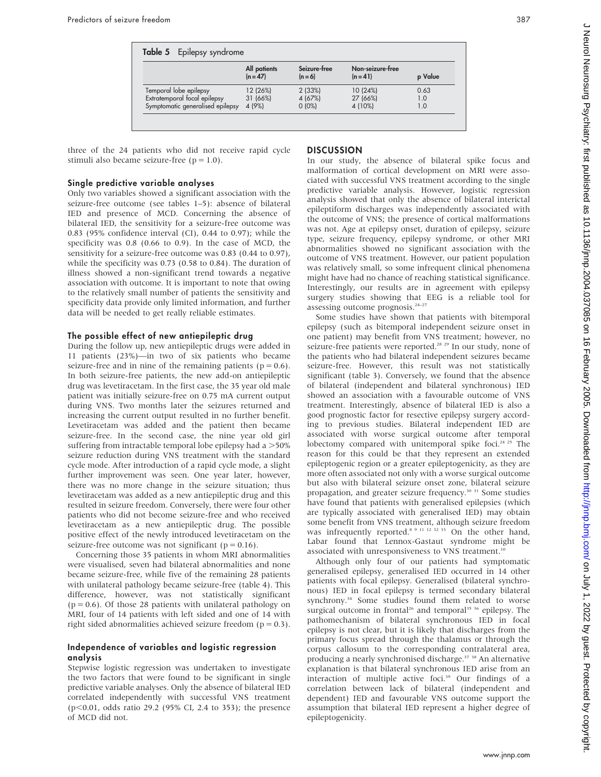| Table 5 Epilepsy syndrome                                        |                            |                         |                                |            |
|------------------------------------------------------------------|----------------------------|-------------------------|--------------------------------|------------|
|                                                                  | All patients<br>$(n = 47)$ | Seizure-free<br>$(n=6)$ | Non-seizure-free<br>$(n = 41)$ | p Value    |
| Temporal lobe epilepsy                                           | 12 (26%)                   | 2(33%)                  | 10(24%)                        | 0.63       |
| Extratemporal focal epilepsy<br>Symptomatic generalised epilepsy | 31 (66%)<br>4 (9%)         | 4 (67%)<br>$0(0\%)$     | 27 (66%)<br>4 (10%)            | 1.0<br>1.0 |

three of the 24 patients who did not receive rapid cycle stimuli also became seizure-free  $(p = 1.0)$ .

#### Single predictive variable analyses

Only two variables showed a significant association with the seizure-free outcome (see tables 1–5): absence of bilateral IED and presence of MCD. Concerning the absence of bilateral IED, the sensitivity for a seizure-free outcome was 0.83 (95% confidence interval (CI), 0.44 to 0.97); while the specificity was 0.8 (0.66 to 0.9). In the case of MCD, the sensitivity for a seizure-free outcome was 0.83 (0.44 to 0.97), while the specificity was 0.73 (0.58 to 0.84). The duration of illness showed a non-significant trend towards a negative association with outcome. It is important to note that owing to the relatively small number of patients the sensitivity and specificity data provide only limited information, and further data will be needed to get really reliable estimates.

#### The possible effect of new antiepileptic drug

During the follow up, new antiepileptic drugs were added in 11 patients (23%)—in two of six patients who became seizure-free and in nine of the remaining patients ( $p = 0.6$ ). In both seizure-free patients, the new add-on antiepileptic drug was levetiracetam. In the first case, the 35 year old male patient was initially seizure-free on 0.75 mA current output during VNS. Two months later the seizures returned and increasing the current output resulted in no further benefit. Levetiracetam was added and the patient then became seizure-free. In the second case, the nine year old girl suffering from intractable temporal lobe epilepsy had a  $>50\%$ seizure reduction during VNS treatment with the standard cycle mode. After introduction of a rapid cycle mode, a slight further improvement was seen. One year later, however, there was no more change in the seizure situation; thus levetiracetam was added as a new antiepileptic drug and this resulted in seizure freedom. Conversely, there were four other patients who did not become seizure-free and who received levetiracetam as a new antiepileptic drug. The possible positive effect of the newly introduced levetiracetam on the seizure-free outcome was not significant ( $p = 0.16$ ).

Concerning those 35 patients in whom MRI abnormalities were visualised, seven had bilateral abnormalities and none became seizure-free, while five of the remaining 28 patients with unilateral pathology became seizure-free (table 4). This difference, however, was not statistically significant  $(p = 0.6)$ . Of those 28 patients with unilateral pathology on MRI, four of 14 patients with left sided and one of 14 with right sided abnormalities achieved seizure freedom ( $p = 0.3$ ).

## Independence of variables and logistic regression analysis

Stepwise logistic regression was undertaken to investigate the two factors that were found to be significant in single predictive variable analyses. Only the absence of bilateral IED correlated independently with successful VNS treatment (p<0.01, odds ratio 29.2 (95% CI, 2.4 to 353); the presence of MCD did not.

## **DISCUSSION**

In our study, the absence of bilateral spike focus and malformation of cortical development on MRI were associated with successful VNS treatment according to the single predictive variable analysis. However, logistic regression analysis showed that only the absence of bilateral interictal epileptiform discharges was independently associated with the outcome of VNS; the presence of cortical malformations was not. Age at epilepsy onset, duration of epilepsy, seizure type, seizure frequency, epilepsy syndrome, or other MRI abnormalities showed no significant association with the outcome of VNS treatment. However, our patient population was relatively small, so some infrequent clinical phenomena might have had no chance of reaching statistical significance. Interestingly, our results are in agreement with epilepsy surgery studies showing that EEG is a reliable tool for assessing outcome prognosis.24–27

Some studies have shown that patients with bitemporal epilepsy (such as bitemporal independent seizure onset in one patient) may benefit from VNS treatment; however, no seizure-free patients were reported.<sup>28 29</sup> In our study, none of the patients who had bilateral independent seizures became seizure-free. However, this result was not statistically significant (table 3). Conversely, we found that the absence of bilateral (independent and bilateral synchronous) IED showed an association with a favourable outcome of VNS treatment. Interestingly, absence of bilateral IED is also a good prognostic factor for resective epilepsy surgery according to previous studies. Bilateral independent IED are associated with worse surgical outcome after temporal lobectomy compared with unitemporal spike foci.<sup>24 25</sup> The reason for this could be that they represent an extended epileptogenic region or a greater epileptogenicity, as they are more often associated not only with a worse surgical outcome but also with bilateral seizure onset zone, bilateral seizure propagation, and greater seizure frequency.<sup>30 31</sup> Some studies have found that patients with generalised epilepsies (which are typically associated with generalised IED) may obtain some benefit from VNS treatment, although seizure freedom was infrequently reported.<sup>8 9 11 12 32 33</sup> On the other hand, Labar found that Lennox-Gastaut syndrome might be associated with unresponsiveness to VNS treatment.<sup>10</sup>

Although only four of our patients had symptomatic generalised epilepsy, generalised IED occurred in 14 other patients with focal epilepsy. Generalised (bilateral synchronous) IED in focal epilepsy is termed secondary bilateral synchrony.<sup>34</sup> Some studies found them related to worse surgical outcome in frontal<sup>26</sup> and temporal<sup>35</sup> <sup>36</sup> epilepsy. The pathomechanism of bilateral synchronous IED in focal epilepsy is not clear, but it is likely that discharges from the primary focus spread through the thalamus or through the corpus callosum to the corresponding contralateral area, producing a nearly synchronised discharge.<sup>37</sup> <sup>38</sup> An alternative explanation is that bilateral synchronous IED arise from an interaction of multiple active foci.<sup>39</sup> Our findings of a correlation between lack of bilateral (independent and dependent) IED and favourable VNS outcome support the assumption that bilateral IED represent a higher degree of epileptogenicity.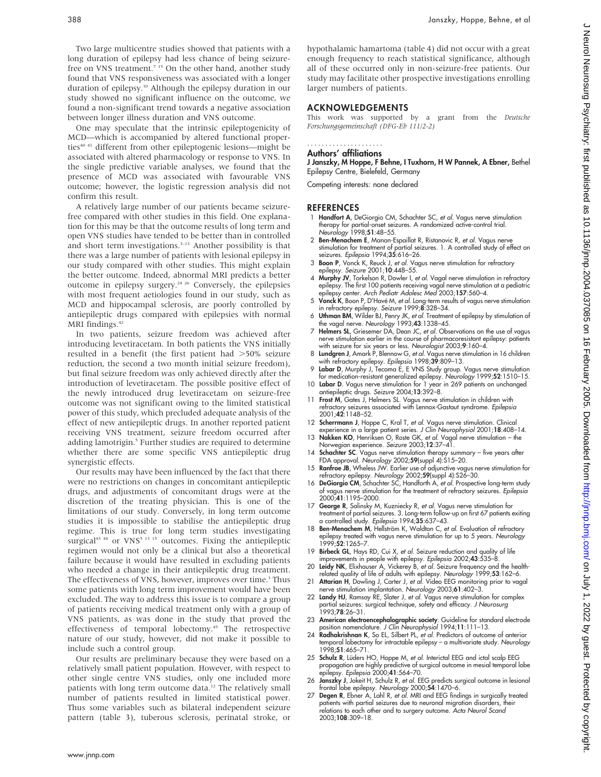Two large multicentre studies showed that patients with a long duration of epilepsy had less chance of being seizurefree on VNS treatment.<sup>7 15</sup> On the other hand, another study found that VNS responsiveness was associated with a longer duration of epilepsy.<sup>10</sup> Although the epilepsy duration in our study showed no significant influence on the outcome, we found a non-significant trend towards a negative association between longer illness duration and VNS outcome.

One may speculate that the intrinsic epileptogenicity of MCD—which is accompanied by altered functional properties<sup>40 41</sup> different from other epileptogenic lesions—might be associated with altered pharmacology or response to VNS. In the single predictive variable analyses, we found that the presence of MCD was associated with favourable VNS outcome; however, the logistic regression analysis did not confirm this result.

A relatively large number of our patients became seizurefree compared with other studies in this field. One explanation for this may be that the outcome results of long term and open VNS studies have tended to be better than in controlled and short term investigations. $3-13$  Another possibility is that there was a large number of patients with lesional epilepsy in our study compared with other studies. This might explain the better outcome. Indeed, abnormal MRI predicts a better outcome in epilepsy surgery.<sup>24 26</sup> Conversely, the epilepsies with most frequent aetiologies found in our study, such as MCD and hippocampal sclerosis, are poorly controlled by antiepileptic drugs compared with epilepsies with normal MRI findings.<sup>42</sup>

In two patients, seizure freedom was achieved after introducing levetiracetam. In both patients the VNS initially resulted in a benefit (the first patient had  $>50\%$  seizure reduction, the second a two month initial seizure freedom), but final seizure freedom was only achieved directly after the introduction of levetiracetam. The possible positive effect of the newly introduced drug levetiracetam on seizure-free outcome was not significant owing to the limited statistical power of this study, which precluded adequate analysis of the effect of new antiepileptic drugs. In another reported patient receiving VNS treatment, seizure freedom occurred after adding lamotrigin.<sup>5</sup> Further studies are required to determine whether there are some specific VNS antiepileptic drug synergistic effects.

Our results may have been influenced by the fact that there were no restrictions on changes in concomitant antiepileptic drugs, and adjustments of concomitant drugs were at the discretion of the treating physician. This is one of the limitations of our study. Conversely, in long term outcome studies it is impossible to stabilise the antiepileptic drug regime. This is true for long term studies investigating surgical<sup>43 44</sup> or  $VNS<sup>5</sup>$ <sup>13 15</sup> outcomes. Fixing the antiepileptic regimen would not only be a clinical but also a theoretical failure because it would have resulted in excluding patients who needed a change in their antiepileptic drug treatment. The effectiveness of VNS, however, improves over time.<sup>3</sup> Thus some patients with long term improvement would have been excluded. The way to address this issue is to compare a group of patients receiving medical treatment only with a group of VNS patients, as was done in the study that proved the effectiveness of temporal lobectomy.45 The retrospective nature of our study, however, did not make it possible to include such a control group.

Our results are preliminary because they were based on a relatively small patient population. However, with respect to other single centre VNS studies, only one included more patients with long term outcome data.<sup>12</sup> The relatively small number of patients resulted in limited statistical power. Thus some variables such as bilateral independent seizure pattern (table 3), tuberous sclerosis, perinatal stroke, or

hypothalamic hamartoma (table 4) did not occur with a great enough frequency to reach statistical significance, although all of these occurred only in non-seizure-free patients. Our study may facilitate other prospective investigations enrolling larger numbers of patients.

#### ACKNOWLEDGEMENTS

This work was supported by a grant from the Deutsche Forschungsgemeinschaft (DFG-Eb 111/2-2)

#### Authors' affiliations .....................

J Janszky, M Hoppe, F Behne, I Tuxhorn, H W Pannek, A Ebner, Bethel Epilepsy Centre, Bielefeld, Germany

Competing interests: none declared

#### **REFERENCES**

- 1 Handfort A, DeGiorgio CM, Schachter SC, et al. Vagus nerve stimulation therapy for partial-onset seizures. A randomized active-control trial. Neurology 1998;51:48–55.
- 2 Ben-Menachem E, Manon-Espaillat R, Ristanovic R, et al. Vagus nerve stimulation for treatment of partial seizures. 1. A controlled study of effect on seizures. Epilepsia 1994;35:616-26.
- 3 Boon P, Vonck K, Reuck J, et al. Vagus nerve stimulation for refractory
- epilepsy. *Seizure* 2001;1**0**:448–55.<br>4 Mur**phy JV**, Torkelson R, Dowler I, *et al.* Vagal nerve stimulation in refractory epilepsy. The first 100 patients receiving vagal nerve stimulation at a pediatric<br>epilepsy center. Arch Pediatr Adolesc Med 2003;**157**:560–4.
- 5 Vonck K, Boon P, D'Havé M, et al. Long-term results of vagus nerve stimulation in refractory epilepsy. Seizure 1999;8:328–34.
- 6 Uthman BM, Wilder BJ, Penry JK, et al. Treatment of epilepsy by stimulation of the vagal nerve. Neurology 1993;43:1338–45.
- 7 Helmers SL, Griesemer DA, Dean JC, et al. Observations on the use of vagus nerve stimulation earlier in the course of pharmacoresistant epilepsy: patients with seizure for six years or less. Neurologist 2003;9:160–4.
- 8 Lundgren J, Amark P, Blennow G, et al. Vagus nerve stimulation in 16 children with refractory epilepsy. Epilepsia 1998;39:809–13.
- 9 Labar D, Murphy J, Tecoma E, E VNS Study group. Vagus nerve stimulation for medication-resistant generalized epilepsy. Neurology 1999;52:1510–15.
- 10 Labar D. Vagus nerve stimulation for 1 year in 269 patients on unchanged antiepileptic drugs. Seizure 2004;13:392–8. 11 Frost M, Gates J, Helmers SL. Vagus nerve stimulation in children with
- refractory seizures associated with Lennox-Gastaut syndrome. Epilepsia 2001;42:1148–52.
- 12 Scherrmann J, Hoppe C, Kral T, et al. Vagus nerve stimulation. Clinical experience in a large patient series. J Clin Neurophysiol 2001;18:408–14.
- 13 Nakken KO, Henriksen O, Roste GK, et al. Vagal nerve stimulation the Norwegian experience. Seizure 2003;12:37–41.
- 14 Schachter SC. Vagus nerve stimulation therapy summary five years after FDA approval. Neurology 2002;59(suppl 4):S15-20.
- 15 Ranfroe JB, Wheless JW. Earlier use of adjunctive vagus nerve stimulation for refractory epilepsy. Neurology 2002;59(suppl 4):S26–30.
- 16 DeGiorgio CM, Schachter SC, Handforth A, et al. Prospective long-term study of vagus nerve stimulation for the treatment of refractory seizures. Epilepsia 2000;41:1195–2000.
- 17 George R, Salinsky M, Kuzniecky R, et al. Vagus nerve stimulation for treatment of partial seizures. 3. Long-term follow-up on first 67 patients exiting a controlled study. Epilepsia 1994;35:637–43.
- 18 Ben-Menachem M, Hellström K, Waldton C, et al. Evaluation of refractory<br>epilepsy treated with vagus nerve stimulation for up to 5 years. Neurology 1999;52:1265–7.
- 19 Birbeck GL, Hays RD, Cui X, et al. Seizure reduction and quality of life improvements in people with epilepsy. Epilepsia 2002;43:535–8.
- 20 Leidy NK, Elixhauser A, Vickerey B, et al. Seizure frequency and the healthrelated quality of life of adults with epilepsy. Neurology 1999;53:162-6.
- 21 Attarian H, Dowling J, Carter J, et al. Video EEG monitoring prior to vagal nerve stimulation implantation. Neurology 2003;61:402–3.
- 22 Landy HJ, Ramsay RE, Slater J, et al. Vagus nerve stimulation for complex partial seizures: surgical technique, safety and efficacy. J Neurosurg 1993;78:26–31.
- 23 **American electroencephalographic society**. Guideline for standard electrode<br>position nomenclature. *J Clin Neurophysiol* 1994;11:111–13.<br>24 **Radhakrishnan K**, So EL, Silbert PL, *et al.* Predictors of outcome of anteri
- temporal lobectomy for intractable epilepsy a multivariate study. Neurology 1998;51:465–71.
- 25 Schulz R, Lüders HO, Hoppe M, et al. Interictal EEG and ictal scalp EEG propagation are highly predictive of surgical outcome in mesial temporal lobe epilepsy. Epilepsia 2000;41:564–70.
- 26 Janszky J, Jokeit H, Schulz R, et al. EEG predicts surgical outcome in lesional frontal lobe epilepsy. Neurology 2000;54:1470–6.
- 27 Degen R, Ebner A, Lahl R, et al. MRI and EEG findings in surgically treated patients with partial seizures due to neuronal migration disorders, their relations to each other and to surgery outcome. Acta Neurol Scand 2003;108:309–18.